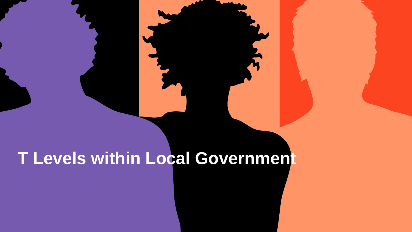# **T Levels within Local Government**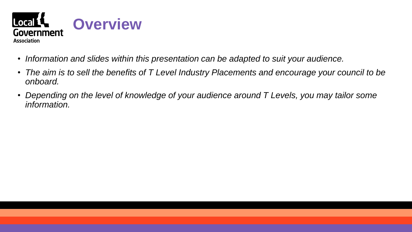

- *Information and slides within this presentation can be adapted to suit your audience.*
- *The aim is to sell the benefits of T Level Industry Placements and encourage your council to be onboard.*
- Depending on the level of knowledge of your audience around T Levels, you may tailor some *information.*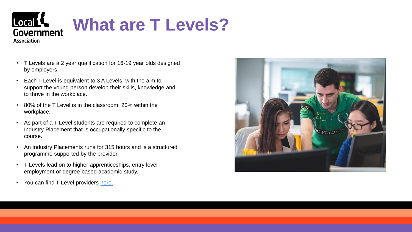

- T Levels are a 2 year qualification for 16-19 year olds designed by employers.
- Each T Level is equivalent to 3 A Levels, with the aim to support the young person develop their skills, knowledge and to thrive in the workplace.
- 80% of the T Level is in the classroom, 20% within the workplace.
- As part of a T Level students are required to complete an Industry Placement that is occupationally specific to the course.
- An Industry Placements runs for 315 hours and is a structured programme supported by the provider.
- T Levels lead on to higher apprenticeships, entry level employment or degree based academic study.
- You can find T Level providers [here.](https://employers.tlevels.gov.uk/hc/en-gb/articles/4408396438162)

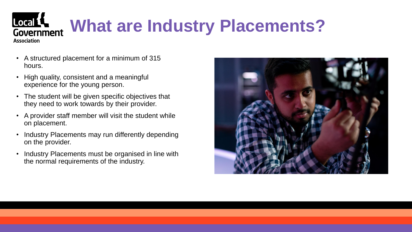### Local L **What are Industry Placements?**  Government **Association**

- A structured placement for a minimum of 315 hours.
- High quality, consistent and a meaningful experience for the young person.
- The student will be given specific objectives that they need to work towards by their provider.
- A provider staff member will visit the student while on placement.
- Industry Placements may run differently depending on the provider.
- Industry Placements must be organised in line with the normal requirements of the industry.

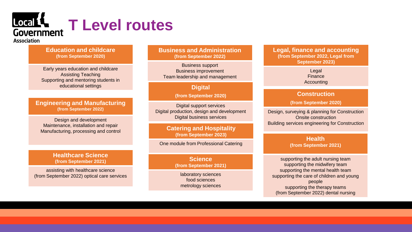## Local L **T Level routes Government**

#### **Association**

#### **Education and childcare (from September 2020)**

Early years education and childcare Assisting Teaching Supporting and mentoring students in educational settings

#### **Engineering and Manufacturing (from September 2022)**

Design and development Maintenance, installation and repair Manufacturing, processing and control

#### **Healthcare Science (from September 2021)**

assisting with healthcare science (from September 2022) optical care services **Business and Administration (from September 2022)**

Business support Business improvement Team leadership and management

#### **Digital**

**(from September 2020)**

Digital support services Digital production, design and development Digital business services

#### **Catering and Hospitality (from September 2023)**

One module from Professional Catering

**Science (from September 2021)**

laboratory sciences food sciences metrology sciences **Legal, finance and accounting (from September 2022, Legal from September 2023)**

> Legal Finance Accounting

#### **Construction**

**(from September 2020)**

Design, surveying & planning for Construction Onsite construction Building services engineering for Construction

#### **Health (from September 2021)**

supporting the adult nursing team supporting the midwifery team supporting the mental health team supporting the care of children and young people supporting the therapy teams (from September 2022) dental nursing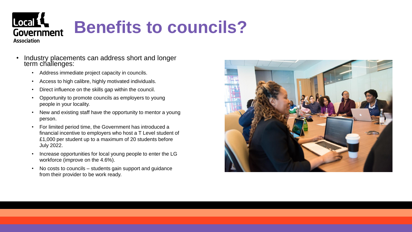

- Industry placements can address short and longer term challenges:
	- Address immediate project capacity in councils.
	- Access to high calibre, highly motivated individuals.
	- Direct influence on the skills gap within the council.
	- Opportunity to promote councils as employers to young people in your locality.
	- New and existing staff have the opportunity to mentor a young person.
	- For limited period time, the Government has introduced a financial incentive to employers who host a T Level student of £1,000 per student up to a maximum of 20 students before July 2022.
	- Increase opportunities for local young people to enter the LG workforce (improve on the 4.6%).
	- No costs to councils students gain support and guidance from their provider to be work ready.

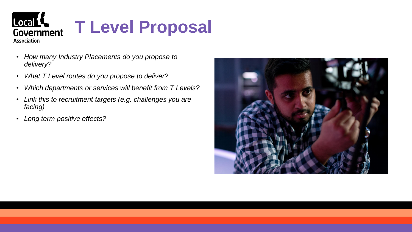

- *How many Industry Placements do you propose to delivery?*
- *What T Level routes do you propose to deliver?*
- *Which departments or services will benefit from T Levels?*
- *Link this to recruitment targets (e.g. challenges you are facing)*
- *Long term positive effects?*

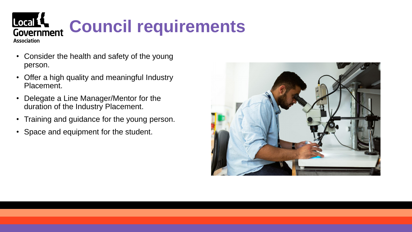

- Consider the health and safety of the young person.
- Offer a high quality and meaningful Industry Placement.
- Delegate a Line Manager/Mentor for the duration of the Industry Placement.
- Training and guidance for the young person.
- Space and equipment for the student.

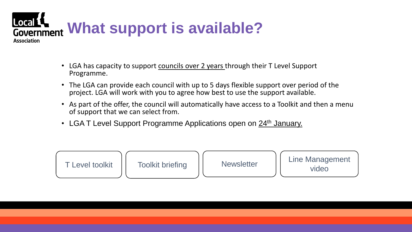

- LGA has capacity to support councils over 2 years through their T Level Support Programme.
- The LGA can provide each council with up to 5 days flexible support over period of the project. LGA will work with you to agree how best to use the support available.
- As part of the offer, the council will automatically have access to a Toolkit and then a menu of support that we can select from.
- LGA T Level Support Programme Applications open on 24<sup>th</sup> January.

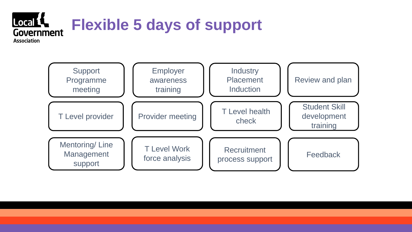

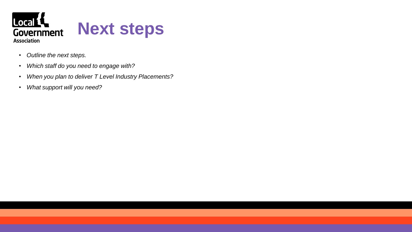

- *Outline the next steps.*
- *Which staff do you need to engage with?*
- *When you plan to deliver T Level Industry Placements?*
- *What support will you need?*